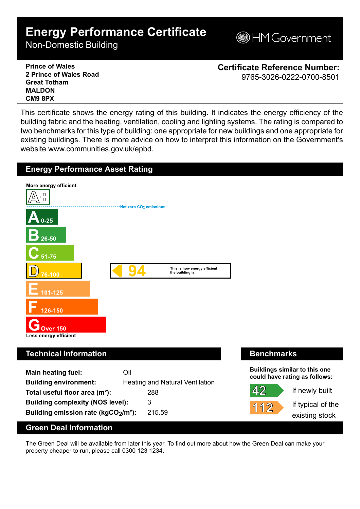## **Energy Performance Certificate**

Non-Domestic Building

**MGovernment** 

**Prince of Wales 2 Prince of Wales Road Great Totham MALDON CM9 8PX**

**Certificate Reference Number:** 9765-3026-0222-0700-8501

This certificate shows the energy rating of this building. It indicates the energy efficiency of the building fabric and the heating, ventilation, cooling and lighting systems. The rating is compared to two benchmarks for this type of building: one appropriate for new buildings and one appropriate for existing buildings. There is more advice on how to interpret this information on the Government's website www.communities.gov.uk/epbd.



The Green Deal will be available from later this year. To find out more about how the Green Deal can make your property cheaper to run, please call 0300 123 1234.